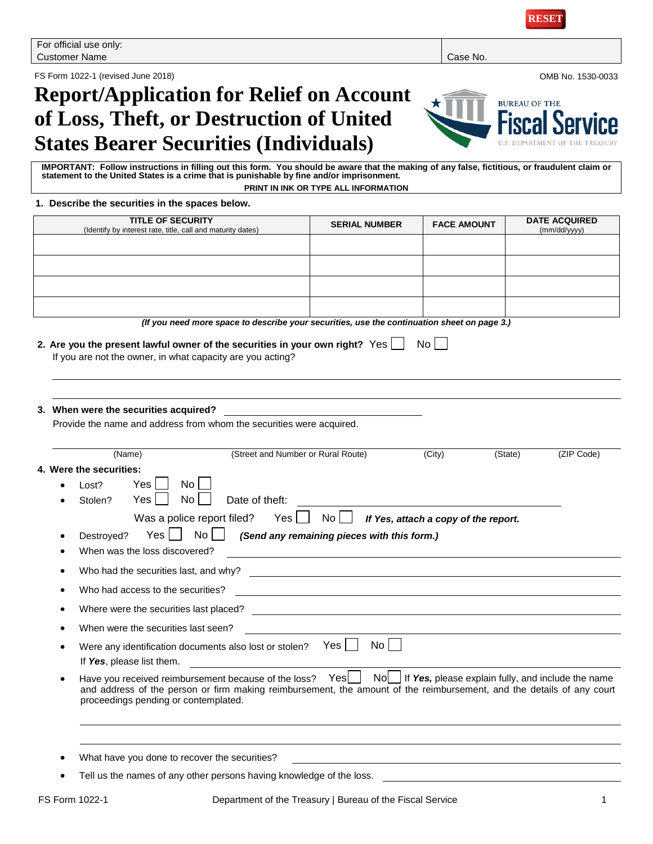FS Form 1022-1 (revised June 2018) OMB No. 1530-0033

# **Report/Application for Relief on Account of Loss, Theft, or Destruction of United States Bearer Securities (Individuals)**

**IMPORTANT: Follow instructions in filling out this form. You should be aware that the making of any false, fictitious, or fraudulent claim or statement to the United States is a crime that is punishable by fine and/or imprisonment. PRINT IN INK OR TYPE ALL INFORMATION**

#### **1. Describe the securities in the spaces below.**

| <b>TITLE OF SECURITY</b><br>(Identify by interest rate, title, call and maturity dates)                                                                                                                                                                                                                           | <b>SERIAL NUMBER</b>                                                                                                  | <b>FACE AMOUNT</b> | <b>DATE ACQUIRED</b><br>(mm/dd/yyyy) |  |  |  |
|-------------------------------------------------------------------------------------------------------------------------------------------------------------------------------------------------------------------------------------------------------------------------------------------------------------------|-----------------------------------------------------------------------------------------------------------------------|--------------------|--------------------------------------|--|--|--|
|                                                                                                                                                                                                                                                                                                                   |                                                                                                                       |                    |                                      |  |  |  |
|                                                                                                                                                                                                                                                                                                                   |                                                                                                                       |                    |                                      |  |  |  |
|                                                                                                                                                                                                                                                                                                                   |                                                                                                                       |                    |                                      |  |  |  |
|                                                                                                                                                                                                                                                                                                                   |                                                                                                                       |                    |                                      |  |  |  |
| (If you need more space to describe your securities, use the continuation sheet on page 3.)                                                                                                                                                                                                                       |                                                                                                                       |                    |                                      |  |  |  |
| 2. Are you the present lawful owner of the securities in your own right? Yes $\Box$<br>$No$    <br>If you are not the owner, in what capacity are you acting?                                                                                                                                                     |                                                                                                                       |                    |                                      |  |  |  |
| 3. When were the securities acquired?<br>Provide the name and address from whom the securities were acquired.                                                                                                                                                                                                     |                                                                                                                       |                    |                                      |  |  |  |
| (Name)<br>(Street and Number or Rural Route)                                                                                                                                                                                                                                                                      |                                                                                                                       | (City)<br>(State)  | (ZIP Code)                           |  |  |  |
| No<br>Yes l<br>Lost?<br>No <sub>1</sub><br>Yes  <br>Date of theft:<br>Stolen?<br>Was a police report filed? Yes $\Box$ No $\Box$<br>If Yes, attach a copy of the report.<br>$\overline{N_0}$    <br>$Yes \mid \mid$<br>(Send any remaining pieces with this form.)<br>Destroyed?<br>When was the loss discovered? |                                                                                                                       |                    |                                      |  |  |  |
| Who had the securities last, and why?                                                                                                                                                                                                                                                                             | <u> 1989 - Johann Harry Harry Harry Harry Harry Harry Harry Harry Harry Harry Harry Harry Harry Harry Harry Harry</u> |                    |                                      |  |  |  |
| Who had access to the securities?                                                                                                                                                                                                                                                                                 | <u> 1989 - Johann Stoff, deutscher Stoffen und der Stoffen und der Stoffen und der Stoffen und der Stoffen und de</u> |                    |                                      |  |  |  |
|                                                                                                                                                                                                                                                                                                                   |                                                                                                                       |                    |                                      |  |  |  |
| When were the securities last seen?                                                                                                                                                                                                                                                                               |                                                                                                                       |                    |                                      |  |  |  |
| Were any identification documents also lost or stolen? Yes  <br>If Yes, please list them.                                                                                                                                                                                                                         | No                                                                                                                    |                    |                                      |  |  |  |
| Have you received reimbursement because of the loss? Yes   No   If Yes, please explain fully, and include the name<br>and address of the person or firm making reimbursement, the amount of the reimbursement, and the details of any court<br>proceedings pending or contemplated.                               |                                                                                                                       |                    |                                      |  |  |  |
|                                                                                                                                                                                                                                                                                                                   |                                                                                                                       |                    |                                      |  |  |  |
| What have you done to recover the securities?                                                                                                                                                                                                                                                                     |                                                                                                                       |                    |                                      |  |  |  |
| Tell us the names of any other persons having knowledge of the loss.                                                                                                                                                                                                                                              |                                                                                                                       |                    |                                      |  |  |  |

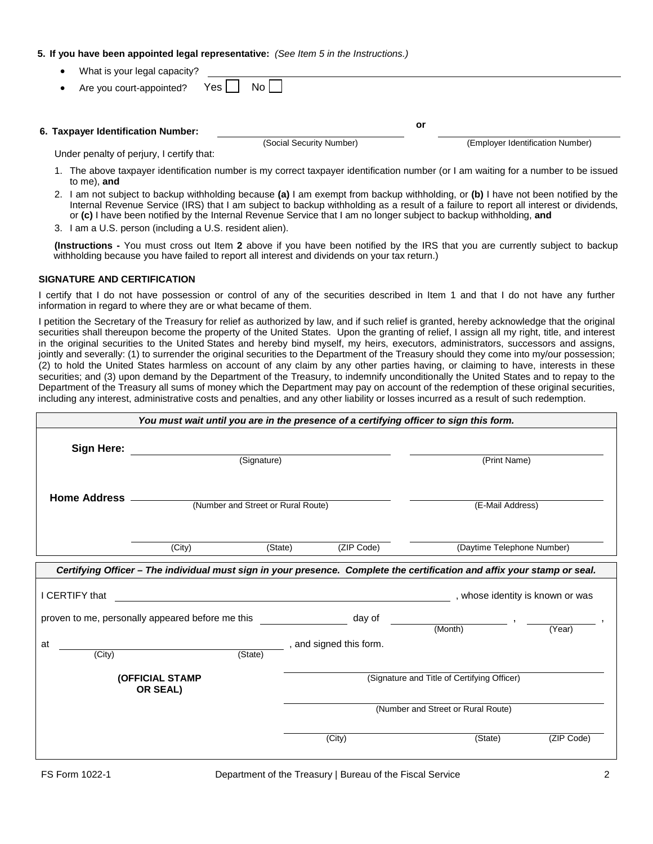### **5. If you have been appointed legal representative:** *(See Item 5 in the Instructions.)*

- What is your legal capacity?
- Are you court-appointed? Yes  $\Box$  No **6. Taxpayer Identification Number: or** (Social Security Number) (Employer Identification Number) Under penalty of perjury, I certify that:
	- 1. The above taxpayer identification number is my correct taxpayer identification number (or I am waiting for a number to be issued to me), **and**
	- 2. I am not subject to backup withholding because **(a)** I am exempt from backup withholding, or **(b)** I have not been notified by the Internal Revenue Service (IRS) that I am subject to backup withholding as a result of a failure to report all interest or dividends, or **(c)** I have been notified by the Internal Revenue Service that I am no longer subject to backup withholding, **and**
	- 3. I am a U.S. person (including a U.S. resident alien).

**(Instructions -** You must cross out Item **2** above if you have been notified by the IRS that you are currently subject to backup withholding because you have failed to report all interest and dividends on your tax return.)

### **SIGNATURE AND CERTIFICATION**

I certify that I do not have possession or control of any of the securities described in Item 1 and that I do not have any further information in regard to where they are or what became of them.

I petition the Secretary of the Treasury for relief as authorized by law, and if such relief is granted, hereby acknowledge that the original securities shall thereupon become the property of the United States. Upon the granting of relief, I assign all my right, title, and interest in the original securities to the United States and hereby bind myself, my heirs, executors, administrators, successors and assigns, jointly and severally: (1) to surrender the original securities to the Department of the Treasury should they come into my/our possession; (2) to hold the United States harmless on account of any claim by any other parties having, or claiming to have, interests in these securities; and (3) upon demand by the Department of the Treasury, to indemnify unconditionally the United States and to repay to the Department of the Treasury all sums of money which the Department may pay on account of the redemption of these original securities, including any interest, administrative costs and penalties, and any other liability or losses incurred as a result of such redemption.

|                                                  | You must wait until you are in the presence of a certifying officer to sign this form.                                   |                                    |                                             |                            |            |
|--------------------------------------------------|--------------------------------------------------------------------------------------------------------------------------|------------------------------------|---------------------------------------------|----------------------------|------------|
| Sign Here:                                       |                                                                                                                          |                                    |                                             |                            |            |
|                                                  | (Signature)                                                                                                              |                                    | (Print Name)                                |                            |            |
|                                                  |                                                                                                                          |                                    |                                             |                            |            |
| <b>Home Address</b>                              |                                                                                                                          | (Number and Street or Rural Route) |                                             | (E-Mail Address)           |            |
|                                                  |                                                                                                                          |                                    |                                             |                            |            |
|                                                  | (City)                                                                                                                   | (State)                            | (ZIP Code)                                  | (Daytime Telephone Number) |            |
|                                                  | Certifying Officer - The individual must sign in your presence. Complete the certification and affix your stamp or seal. |                                    |                                             |                            |            |
| I CERTIFY that                                   | whose identity is known or was $\qquad \qquad \qquad$ , whose identity is known or was                                   |                                    |                                             |                            |            |
| proven to me, personally appeared before me this |                                                                                                                          |                                    | day of                                      | $(Month)$ ,                |            |
|                                                  |                                                                                                                          |                                    |                                             |                            | (Year)     |
| at<br>(City)                                     | (State)                                                                                                                  |                                    | , and signed this form.                     |                            |            |
|                                                  | (OFFICIAL STAMP<br>OR SEAL)                                                                                              |                                    | (Signature and Title of Certifying Officer) |                            |            |
|                                                  |                                                                                                                          |                                    | (Number and Street or Rural Route)          |                            |            |
|                                                  |                                                                                                                          |                                    | (City)                                      | (State)                    | (ZIP Code) |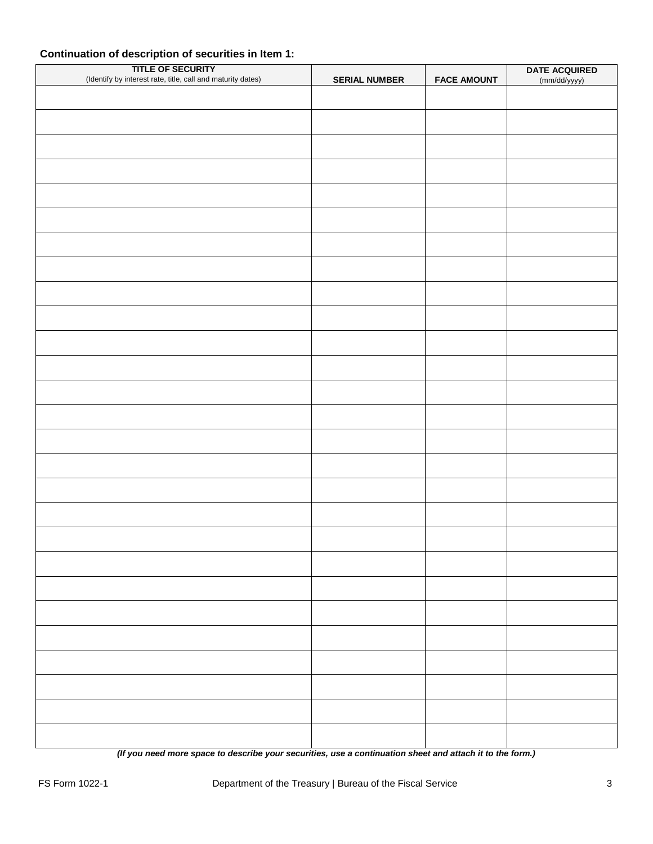## **Continuation of description of securities in Item 1:**

| TITLE OF SECURITY<br>(Identify by interest rate, title, call and maturity dates) | <b>SERIAL NUMBER</b> | <b>FACE AMOUNT</b> | DATE ACQUIRED |
|----------------------------------------------------------------------------------|----------------------|--------------------|---------------|
|                                                                                  |                      |                    | (mm/dd/yyyy)  |
|                                                                                  |                      |                    |               |
|                                                                                  |                      |                    |               |
|                                                                                  |                      |                    |               |
|                                                                                  |                      |                    |               |
|                                                                                  |                      |                    |               |
|                                                                                  |                      |                    |               |
|                                                                                  |                      |                    |               |
|                                                                                  |                      |                    |               |
|                                                                                  |                      |                    |               |
|                                                                                  |                      |                    |               |
|                                                                                  |                      |                    |               |
|                                                                                  |                      |                    |               |
|                                                                                  |                      |                    |               |
|                                                                                  |                      |                    |               |
|                                                                                  |                      |                    |               |
|                                                                                  |                      |                    |               |
|                                                                                  |                      |                    |               |
|                                                                                  |                      |                    |               |
|                                                                                  |                      |                    |               |
|                                                                                  |                      |                    |               |
|                                                                                  |                      |                    |               |
|                                                                                  |                      |                    |               |
|                                                                                  |                      |                    |               |
|                                                                                  |                      |                    |               |
|                                                                                  |                      |                    |               |
|                                                                                  |                      |                    |               |
|                                                                                  |                      |                    |               |

*(If you need more space to describe your securities, use a continuation sheet and attach it to the form.)*